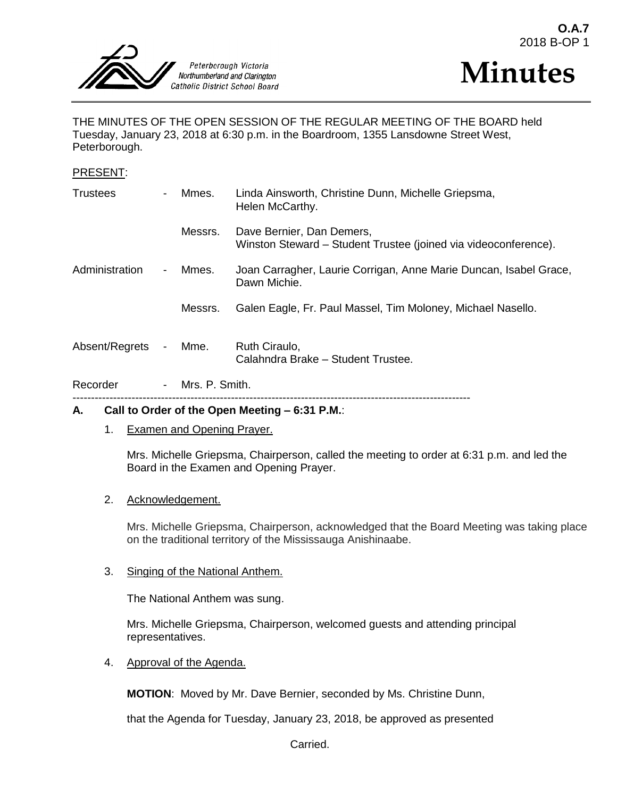



THE MINUTES OF THE OPEN SESSION OF THE REGULAR MEETING OF THE BOARD held Tuesday, January 23, 2018 at 6:30 p.m. in the Boardroom, 1355 Lansdowne Street West, Peterborough.

### PRESENT:

| Recorder        | $\sim$                   | Mrs. P. Smith. |                                                                                              |
|-----------------|--------------------------|----------------|----------------------------------------------------------------------------------------------|
| Absent/Regrets  | $\blacksquare$           | Mme.           | Ruth Ciraulo,<br>Calahndra Brake - Student Trustee.                                          |
|                 |                          | Messrs.        | Galen Eagle, Fr. Paul Massel, Tim Moloney, Michael Nasello.                                  |
| Administration  | $\overline{\phantom{a}}$ | Mmes.          | Joan Carragher, Laurie Corrigan, Anne Marie Duncan, Isabel Grace,<br>Dawn Michie.            |
|                 |                          | Messrs.        | Dave Bernier, Dan Demers,<br>Winston Steward – Student Trustee (joined via videoconference). |
| <b>Trustees</b> |                          | Mmes.          | Linda Ainsworth, Christine Dunn, Michelle Griepsma,<br>Helen McCarthy.                       |

# **A. Call to Order of the Open Meeting – 6:31 P.M.**:

1. Examen and Opening Prayer.

Mrs. Michelle Griepsma, Chairperson, called the meeting to order at 6:31 p.m. and led the Board in the Examen and Opening Prayer.

### 2. Acknowledgement.

Mrs. Michelle Griepsma, Chairperson, acknowledged that the Board Meeting was taking place on the traditional territory of the Mississauga Anishinaabe.

## 3. Singing of the National Anthem.

The National Anthem was sung.

Mrs. Michelle Griepsma, Chairperson, welcomed guests and attending principal representatives.

4. Approval of the Agenda.

**MOTION**: Moved by Mr. Dave Bernier, seconded by Ms. Christine Dunn,

that the Agenda for Tuesday, January 23, 2018, be approved as presented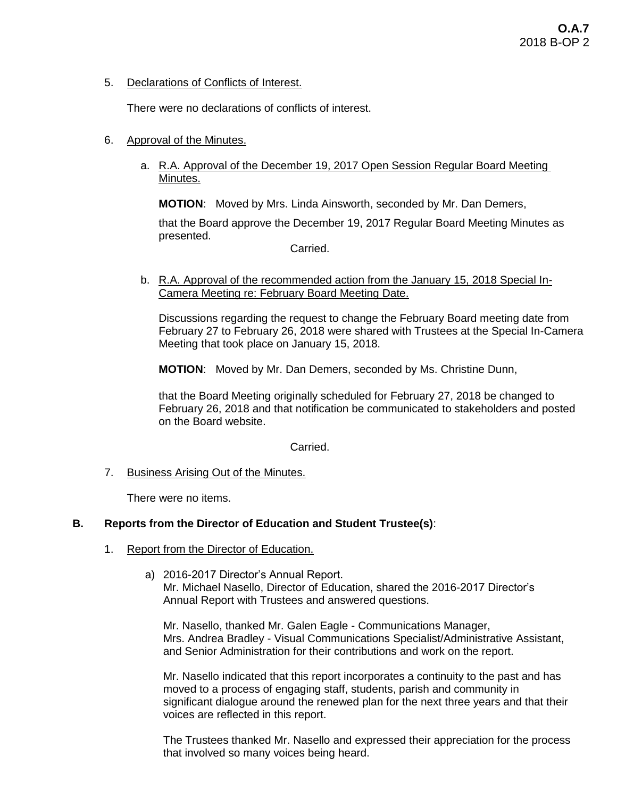5. Declarations of Conflicts of Interest.

There were no declarations of conflicts of interest.

- 6. Approval of the Minutes.
	- a. R.A. Approval of the December 19, 2017 Open Session Regular Board Meeting Minutes.

**MOTION**: Moved by Mrs. Linda Ainsworth, seconded by Mr. Dan Demers,

that the Board approve the December 19, 2017 Regular Board Meeting Minutes as presented.

Carried.

b. R.A. Approval of the recommended action from the January 15, 2018 Special In-Camera Meeting re: February Board Meeting Date.

Discussions regarding the request to change the February Board meeting date from February 27 to February 26, 2018 were shared with Trustees at the Special In-Camera Meeting that took place on January 15, 2018.

**MOTION**: Moved by Mr. Dan Demers, seconded by Ms. Christine Dunn,

that the Board Meeting originally scheduled for February 27, 2018 be changed to February 26, 2018 and that notification be communicated to stakeholders and posted on the Board website.

### Carried.

7. Business Arising Out of the Minutes.

There were no items.

# **B. Reports from the Director of Education and Student Trustee(s)**:

- 1. Report from the Director of Education.
	- a) 2016-2017 Director's Annual Report. Mr. Michael Nasello, Director of Education, shared the 2016-2017 Director's Annual Report with Trustees and answered questions.

Mr. Nasello, thanked Mr. Galen Eagle - Communications Manager, Mrs. Andrea Bradley - Visual Communications Specialist/Administrative Assistant, and Senior Administration for their contributions and work on the report.

Mr. Nasello indicated that this report incorporates a continuity to the past and has moved to a process of engaging staff, students, parish and community in significant dialogue around the renewed plan for the next three years and that their voices are reflected in this report.

The Trustees thanked Mr. Nasello and expressed their appreciation for the process that involved so many voices being heard.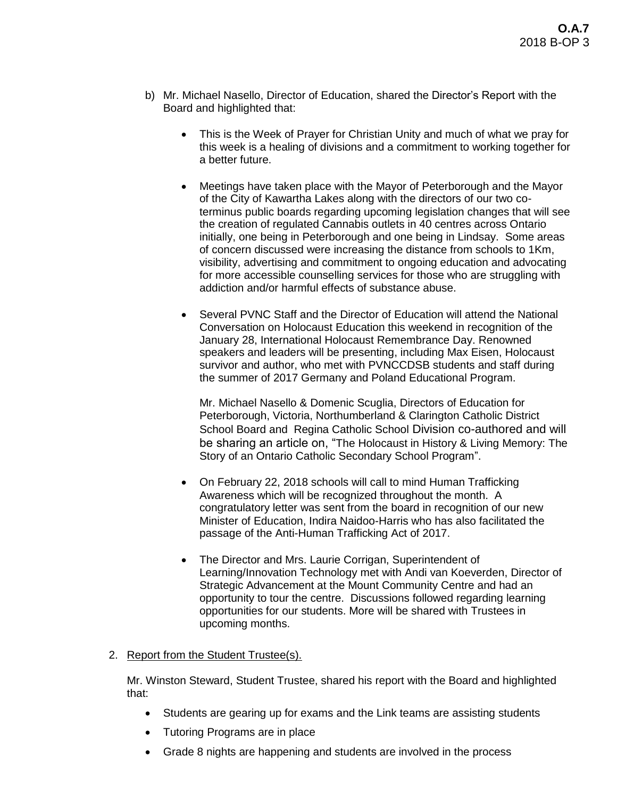- b) Mr. Michael Nasello, Director of Education, shared the Director's Report with the Board and highlighted that:
	- This is the Week of Prayer for Christian Unity and much of what we pray for this week is a healing of divisions and a commitment to working together for a better future.
	- Meetings have taken place with the Mayor of Peterborough and the Mayor of the City of Kawartha Lakes along with the directors of our two coterminus public boards regarding upcoming legislation changes that will see the creation of regulated Cannabis outlets in 40 centres across Ontario initially, one being in Peterborough and one being in Lindsay. Some areas of concern discussed were increasing the distance from schools to 1Km, visibility, advertising and commitment to ongoing education and advocating for more accessible counselling services for those who are struggling with addiction and/or harmful effects of substance abuse.
	- Several PVNC Staff and the Director of Education will attend the National Conversation on Holocaust Education this weekend in recognition of the January 28, International Holocaust Remembrance Day. Renowned speakers and leaders will be presenting, including Max Eisen, Holocaust survivor and author, who met with PVNCCDSB students and staff during the summer of 2017 Germany and Poland Educational Program.

Mr. Michael Nasello & Domenic Scuglia, Directors of Education for Peterborough, Victoria, Northumberland & Clarington Catholic District School Board and Regina Catholic School Division co-authored and will be sharing an article on, "The Holocaust in History & Living Memory: The Story of an Ontario Catholic Secondary School Program".

- On February 22, 2018 schools will call to mind Human Trafficking Awareness which will be recognized throughout the month. A congratulatory letter was sent from the board in recognition of our new Minister of Education, Indira Naidoo-Harris who has also facilitated the passage of the Anti-Human Trafficking Act of 2017.
- The Director and Mrs. Laurie Corrigan, Superintendent of Learning/Innovation Technology met with Andi van Koeverden, Director of Strategic Advancement at the Mount Community Centre and had an opportunity to tour the centre. Discussions followed regarding learning opportunities for our students. More will be shared with Trustees in upcoming months.
- 2. Report from the Student Trustee(s).

Mr. Winston Steward, Student Trustee, shared his report with the Board and highlighted that:

- Students are gearing up for exams and the Link teams are assisting students
- Tutoring Programs are in place
- Grade 8 nights are happening and students are involved in the process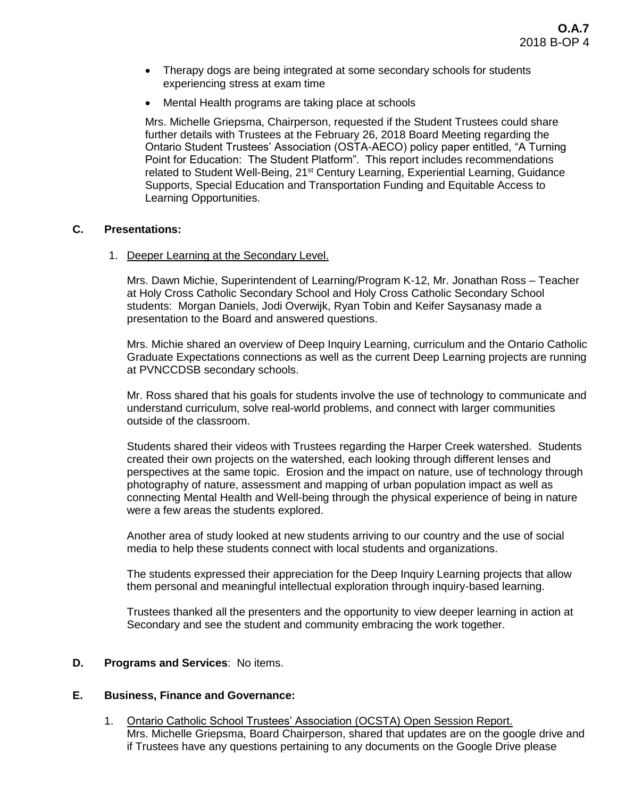- Therapy dogs are being integrated at some secondary schools for students experiencing stress at exam time
- Mental Health programs are taking place at schools

Mrs. Michelle Griepsma, Chairperson, requested if the Student Trustees could share further details with Trustees at the February 26, 2018 Board Meeting regarding the Ontario Student Trustees' Association (OSTA-AECO) policy paper entitled, "A Turning Point for Education: The Student Platform". This report includes recommendations related to Student Well-Being, 21<sup>st</sup> Century Learning, Experiential Learning, Guidance Supports, Special Education and Transportation Funding and Equitable Access to Learning Opportunities.

## **C. Presentations:**

1. Deeper Learning at the Secondary Level.

Mrs. Dawn Michie, Superintendent of Learning/Program K-12, Mr. Jonathan Ross – Teacher at Holy Cross Catholic Secondary School and Holy Cross Catholic Secondary School students: Morgan Daniels, Jodi Overwijk, Ryan Tobin and Keifer Saysanasy made a presentation to the Board and answered questions.

Mrs. Michie shared an overview of Deep Inquiry Learning, curriculum and the Ontario Catholic Graduate Expectations connections as well as the current Deep Learning projects are running at PVNCCDSB secondary schools.

Mr. Ross shared that his goals for students involve the use of technology to communicate and understand curriculum, solve real-world problems, and connect with larger communities outside of the classroom.

Students shared their videos with Trustees regarding the Harper Creek watershed. Students created their own projects on the watershed, each looking through different lenses and perspectives at the same topic. Erosion and the impact on nature, use of technology through photography of nature, assessment and mapping of urban population impact as well as connecting Mental Health and Well-being through the physical experience of being in nature were a few areas the students explored.

Another area of study looked at new students arriving to our country and the use of social media to help these students connect with local students and organizations.

The students expressed their appreciation for the Deep Inquiry Learning projects that allow them personal and meaningful intellectual exploration through inquiry-based learning.

Trustees thanked all the presenters and the opportunity to view deeper learning in action at Secondary and see the student and community embracing the work together.

# **D. Programs and Services**: No items.

# **E. Business, Finance and Governance:**

1. Ontario Catholic School Trustees' Association (OCSTA) Open Session Report. Mrs. Michelle Griepsma, Board Chairperson, shared that updates are on the google drive and if Trustees have any questions pertaining to any documents on the Google Drive please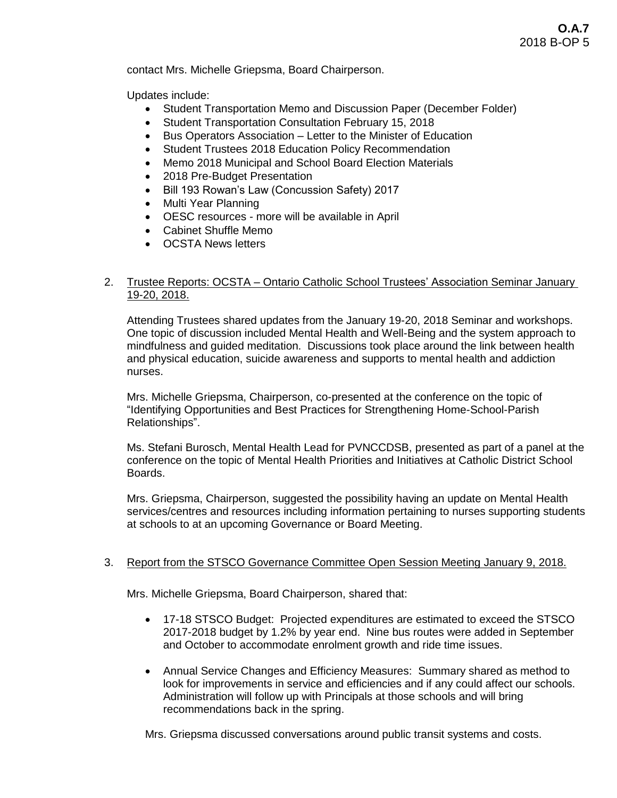contact Mrs. Michelle Griepsma, Board Chairperson.

Updates include:

- Student Transportation Memo and Discussion Paper (December Folder)
- Student Transportation Consultation February 15, 2018
- Bus Operators Association Letter to the Minister of Education
- Student Trustees 2018 Education Policy Recommendation
- Memo 2018 Municipal and School Board Election Materials
- 2018 Pre-Budget Presentation
- Bill 193 Rowan's Law (Concussion Safety) 2017
- Multi Year Planning
- OESC resources more will be available in April
- Cabinet Shuffle Memo
- OCSTA News letters

## 2. Trustee Reports: OCSTA – Ontario Catholic School Trustees' Association Seminar January 19-20, 2018.

Attending Trustees shared updates from the January 19-20, 2018 Seminar and workshops. One topic of discussion included Mental Health and Well-Being and the system approach to mindfulness and guided meditation. Discussions took place around the link between health and physical education, suicide awareness and supports to mental health and addiction nurses.

Mrs. Michelle Griepsma, Chairperson, co-presented at the conference on the topic of "Identifying Opportunities and Best Practices for Strengthening Home-School-Parish Relationships".

Ms. Stefani Burosch, Mental Health Lead for PVNCCDSB, presented as part of a panel at the conference on the topic of Mental Health Priorities and Initiatives at Catholic District School Boards.

Mrs. Griepsma, Chairperson, suggested the possibility having an update on Mental Health services/centres and resources including information pertaining to nurses supporting students at schools to at an upcoming Governance or Board Meeting.

# 3. Report from the STSCO Governance Committee Open Session Meeting January 9, 2018.

Mrs. Michelle Griepsma, Board Chairperson, shared that:

- 17-18 STSCO Budget: Projected expenditures are estimated to exceed the STSCO 2017-2018 budget by 1.2% by year end. Nine bus routes were added in September and October to accommodate enrolment growth and ride time issues.
- Annual Service Changes and Efficiency Measures: Summary shared as method to look for improvements in service and efficiencies and if any could affect our schools. Administration will follow up with Principals at those schools and will bring recommendations back in the spring.

Mrs. Griepsma discussed conversations around public transit systems and costs.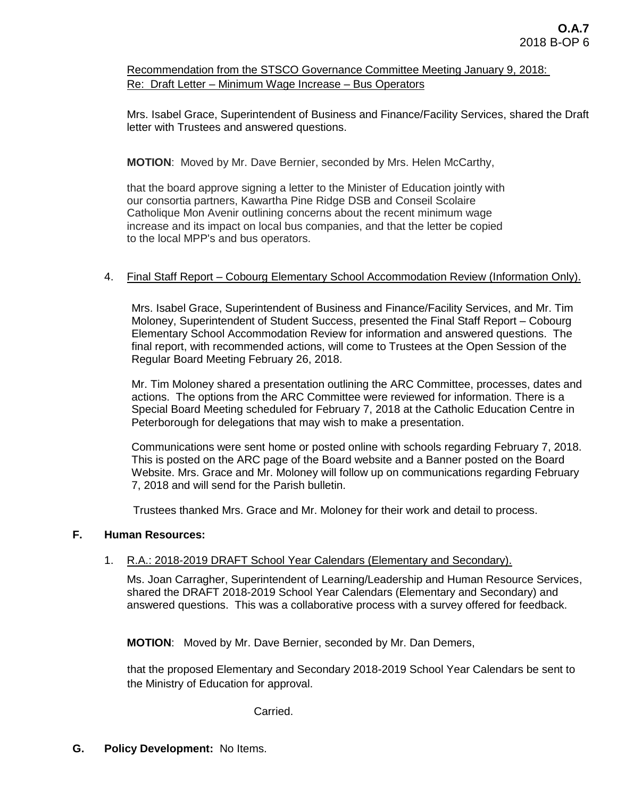Recommendation from the STSCO Governance Committee Meeting January 9, 2018: Re: Draft Letter – Minimum Wage Increase – Bus Operators

Mrs. Isabel Grace, Superintendent of Business and Finance/Facility Services, shared the Draft letter with Trustees and answered questions.

**MOTION**: Moved by Mr. Dave Bernier, seconded by Mrs. Helen McCarthy,

that the board approve signing a letter to the Minister of Education jointly with our consortia partners, Kawartha Pine Ridge DSB and Conseil Scolaire Catholique Mon Avenir outlining concerns about the recent minimum wage increase and its impact on local bus companies, and that the letter be copied to the local MPP's and bus operators.

# 4. Final Staff Report – Cobourg Elementary School Accommodation Review (Information Only).

Mrs. Isabel Grace, Superintendent of Business and Finance/Facility Services, and Mr. Tim Moloney, Superintendent of Student Success, presented the Final Staff Report – Cobourg Elementary School Accommodation Review for information and answered questions. The final report, with recommended actions, will come to Trustees at the Open Session of the Regular Board Meeting February 26, 2018.

Mr. Tim Moloney shared a presentation outlining the ARC Committee, processes, dates and actions. The options from the ARC Committee were reviewed for information. There is a Special Board Meeting scheduled for February 7, 2018 at the Catholic Education Centre in Peterborough for delegations that may wish to make a presentation.

Communications were sent home or posted online with schools regarding February 7, 2018. This is posted on the ARC page of the Board website and a Banner posted on the Board Website. Mrs. Grace and Mr. Moloney will follow up on communications regarding February 7, 2018 and will send for the Parish bulletin.

Trustees thanked Mrs. Grace and Mr. Moloney for their work and detail to process.

### **F. Human Resources:**

### 1. R.A.: 2018-2019 DRAFT School Year Calendars (Elementary and Secondary).

Ms. Joan Carragher, Superintendent of Learning/Leadership and Human Resource Services, shared the DRAFT 2018-2019 School Year Calendars (Elementary and Secondary) and answered questions. This was a collaborative process with a survey offered for feedback.

**MOTION**: Moved by Mr. Dave Bernier, seconded by Mr. Dan Demers,

 that the proposed Elementary and Secondary 2018-2019 School Year Calendars be sent to the Ministry of Education for approval.

Carried.

**G. Policy Development:** No Items.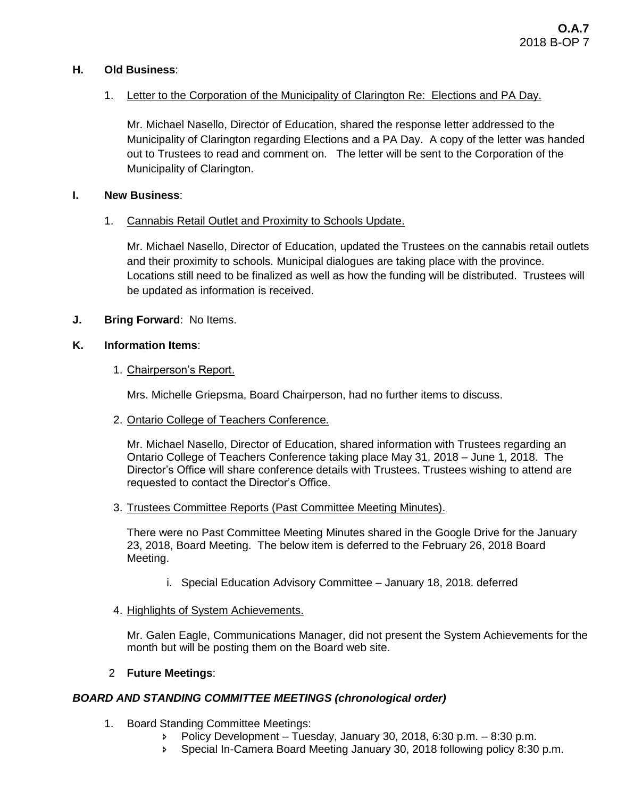# **H. Old Business**:

# 1. Letter to the Corporation of the Municipality of Clarington Re: Elections and PA Day.

Mr. Michael Nasello, Director of Education, shared the response letter addressed to the Municipality of Clarington regarding Elections and a PA Day. A copy of the letter was handed out to Trustees to read and comment on. The letter will be sent to the Corporation of the Municipality of Clarington.

## **I. New Business**:

# 1. Cannabis Retail Outlet and Proximity to Schools Update.

Mr. Michael Nasello, Director of Education, updated the Trustees on the cannabis retail outlets and their proximity to schools. Municipal dialogues are taking place with the province. Locations still need to be finalized as well as how the funding will be distributed. Trustees will be updated as information is received.

# **J. Bring Forward**: No Items.

# **K. Information Items**:

# 1. Chairperson's Report.

Mrs. Michelle Griepsma, Board Chairperson, had no further items to discuss.

# 2. Ontario College of Teachers Conference.

Mr. Michael Nasello, Director of Education, shared information with Trustees regarding an Ontario College of Teachers Conference taking place May 31, 2018 – June 1, 2018. The Director's Office will share conference details with Trustees. Trustees wishing to attend are requested to contact the Director's Office.

# 3. Trustees Committee Reports (Past Committee Meeting Minutes).

There were no Past Committee Meeting Minutes shared in the Google Drive for the January 23, 2018, Board Meeting. The below item is deferred to the February 26, 2018 Board Meeting.

- i. Special Education Advisory Committee January 18, 2018. deferred
- 4. Highlights of System Achievements.

Mr. Galen Eagle, Communications Manager, did not present the System Achievements for the month but will be posting them on the Board web site.

# 2 **Future Meetings**:

# *BOARD AND STANDING COMMITTEE MEETINGS (chronological order)*

- 1. Board Standing Committee Meetings:
	- Policy Development Tuesday, January 30, 2018, 6:30 p.m. 8:30 p.m.
	- Special In-Camera Board Meeting January 30, 2018 following policy 8:30 p.m.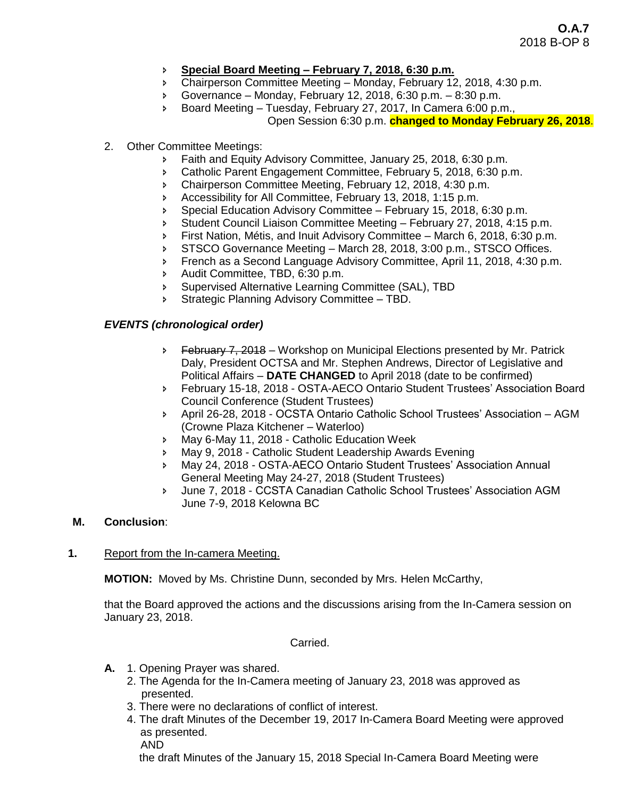- **Special Board Meeting – February 7, 2018, 6:30 p.m.**
- Chairperson Committee Meeting Monday, February 12, 2018, 4:30 p.m.
- Governance Monday, February 12, 2018, 6:30 p.m. 8:30 p.m.
- Board Meeting Tuesday, February 27, 2017, In Camera 6:00 p.m., Open Session 6:30 p.m. **changed to Monday February 26, 2018**.
- 2. Other Committee Meetings:
	- **Faith and Equity Advisory Committee, January 25, 2018, 6:30 p.m.**
	- **EXEC** Catholic Parent Engagement Committee, February 5, 2018, 6:30 p.m.
	- Chairperson Committee Meeting, February 12, 2018, 4:30 p.m.
	- Accessibility for All Committee, February 13, 2018, 1:15 p.m.
	- Special Education Advisory Committee February 15, 2018, 6:30 p.m.
	- Student Council Liaison Committee Meeting February 27, 2018, 4:15 p.m.
	- First Nation, Métis, and Inuit Advisory Committee March 6, 2018, 6:30 p.m.
	- STSCO Governance Meeting March 28, 2018, 3:00 p.m., STSCO Offices.
	- **French as a Second Language Advisory Committee, April 11, 2018, 4:30 p.m.**
	- Audit Committee, TBD, 6:30 p.m.
	- Supervised Alternative Learning Committee (SAL), TBD
	- **Strategic Planning Advisory Committee TBD.**

## *EVENTS (chronological order)*

- $\triangleright$  February 7, 2018 Workshop on Municipal Elections presented by Mr. Patrick Daly, President OCTSA and Mr. Stephen Andrews, Director of Legislative and Political Affairs – **DATE CHANGED** to April 2018 (date to be confirmed)
- February 15-18, 2018 OSTA-AECO Ontario Student Trustees' Association Board Council Conference (Student Trustees)
- April 26-28, 2018 OCSTA Ontario Catholic School Trustees' Association AGM (Crowne Plaza Kitchener – Waterloo)
- May 6-May 11, 2018 Catholic Education Week
- May 9, 2018 Catholic Student Leadership Awards Evening
- May 24, 2018 OSTA-AECO Ontario Student Trustees' Association Annual General Meeting May 24-27, 2018 (Student Trustees)
- June 7, 2018 CCSTA Canadian Catholic School Trustees' Association AGM June 7-9, 2018 Kelowna BC

### **M. Conclusion**:

### **1.** Report from the In-camera Meeting.

**MOTION:** Moved by Ms. Christine Dunn, seconded by Mrs. Helen McCarthy,

that the Board approved the actions and the discussions arising from the In-Camera session on January 23, 2018.

### Carried.

- **A.** 1. Opening Prayer was shared.
	- 2. The Agenda for the In-Camera meeting of January 23, 2018 was approved as presented.
	- 3. There were no declarations of conflict of interest.
	- 4. The draft Minutes of the December 19, 2017 In-Camera Board Meeting were approved as presented. AND

the draft Minutes of the January 15, 2018 Special In-Camera Board Meeting were